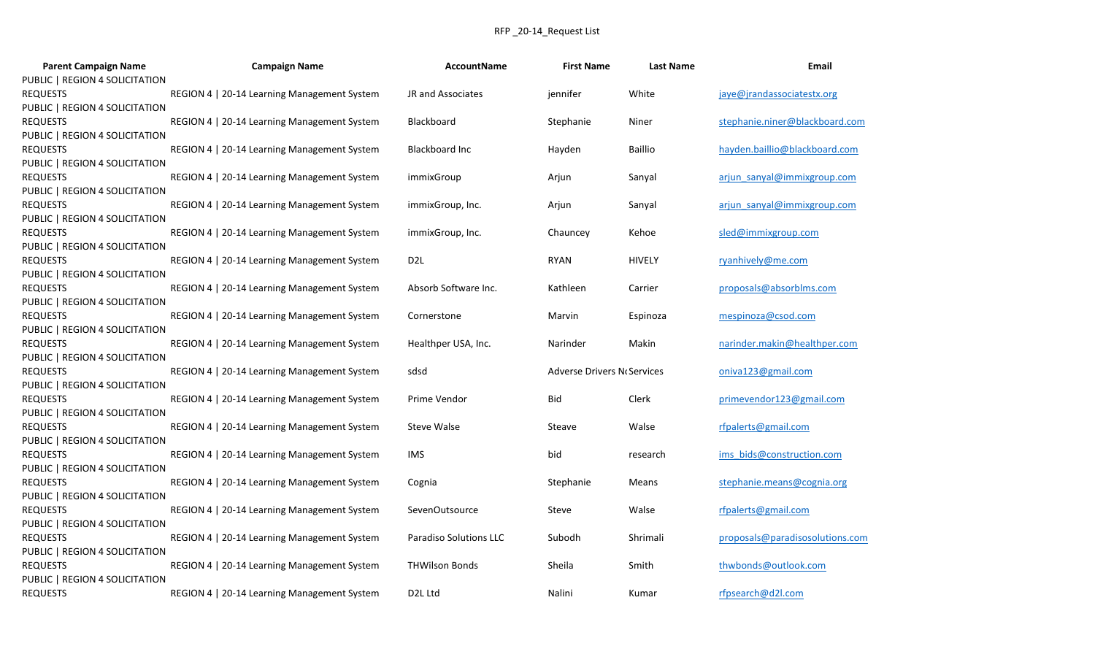## RFP \_20-14\_Request List

| <b>Parent Campaign Name</b>    | <b>Campaign Name</b>                        | <b>AccountName</b>            | <b>First Name</b>           | <b>Last Name</b> | Email                           |
|--------------------------------|---------------------------------------------|-------------------------------|-----------------------------|------------------|---------------------------------|
| PUBLIC   REGION 4 SOLICITATION |                                             |                               |                             |                  |                                 |
| REQUESTS                       | REGION 4   20-14 Learning Management System | JR and Associates             | jennifer                    | White            | jaye@jrandassociatestx.org      |
| PUBLIC   REGION 4 SOLICITATION |                                             |                               |                             |                  |                                 |
| <b>REQUESTS</b>                | REGION 4   20-14 Learning Management System | Blackboard                    | Stephanie                   | Niner            | stephanie.niner@blackboard.com  |
| PUBLIC   REGION 4 SOLICITATION |                                             |                               |                             |                  |                                 |
| REQUESTS                       | REGION 4   20-14 Learning Management System | Blackboard Inc                | Hayden                      | <b>Baillio</b>   | hayden.baillio@blackboard.com   |
| PUBLIC   REGION 4 SOLICITATION |                                             |                               |                             |                  |                                 |
| <b>REQUESTS</b>                | REGION 4   20-14 Learning Management System | immixGroup                    | Arjun                       | Sanyal           | arjun sanyal@immixgroup.com     |
| PUBLIC   REGION 4 SOLICITATION |                                             |                               |                             |                  |                                 |
| <b>REQUESTS</b>                | REGION 4   20-14 Learning Management System | immixGroup, Inc.              | Arjun                       | Sanyal           | arjun sanyal@immixgroup.com     |
| PUBLIC   REGION 4 SOLICITATION |                                             |                               |                             |                  |                                 |
| <b>REQUESTS</b>                | REGION 4   20-14 Learning Management System | immixGroup, Inc.              | Chauncey                    | Kehoe            | sled@immixgroup.com             |
| PUBLIC   REGION 4 SOLICITATION |                                             |                               |                             |                  |                                 |
| <b>REQUESTS</b>                | REGION 4   20-14 Learning Management System | D <sub>2</sub> L              | <b>RYAN</b>                 | <b>HIVELY</b>    | ryanhively@me.com               |
| PUBLIC   REGION 4 SOLICITATION |                                             |                               |                             |                  |                                 |
| REQUESTS                       | REGION 4   20-14 Learning Management System | Absorb Software Inc.          | Kathleen                    | Carrier          | proposals@absorblms.com         |
| PUBLIC   REGION 4 SOLICITATION |                                             |                               |                             |                  |                                 |
| REQUESTS                       | REGION 4   20-14 Learning Management System | Cornerstone                   | Marvin                      | Espinoza         | mespinoza@csod.com              |
| PUBLIC   REGION 4 SOLICITATION |                                             |                               |                             |                  |                                 |
| REQUESTS                       | REGION 4   20-14 Learning Management System | Healthper USA, Inc.           | Narinder                    | Makin            | narinder.makin@healthper.com    |
| PUBLIC   REGION 4 SOLICITATION |                                             |                               |                             |                  |                                 |
| <b>REQUESTS</b>                | REGION 4   20-14 Learning Management System | sdsd                          | Adverse Drivers No Services |                  | oniva123@gmail.com              |
| PUBLIC   REGION 4 SOLICITATION |                                             |                               |                             |                  |                                 |
| REQUESTS                       | REGION 4   20-14 Learning Management System | Prime Vendor                  | Bid                         | Clerk            | primevendor123@gmail.com        |
| PUBLIC   REGION 4 SOLICITATION |                                             |                               |                             |                  |                                 |
| <b>REQUESTS</b>                | REGION 4   20-14 Learning Management System | <b>Steve Walse</b>            | Steave                      | Walse            | rfpalerts@gmail.com             |
| PUBLIC   REGION 4 SOLICITATION |                                             |                               |                             |                  |                                 |
| <b>REQUESTS</b>                | REGION 4   20-14 Learning Management System | <b>IMS</b>                    | bid                         | research         | ims bids@construction.com       |
| PUBLIC   REGION 4 SOLICITATION |                                             |                               |                             |                  |                                 |
| <b>REQUESTS</b>                | REGION 4   20-14 Learning Management System | Cognia                        | Stephanie                   | Means            | stephanie.means@cognia.org      |
| PUBLIC   REGION 4 SOLICITATION |                                             |                               |                             |                  |                                 |
| <b>REQUESTS</b>                | REGION 4   20-14 Learning Management System | SevenOutsource                | Steve                       | Walse            | rfpalerts@gmail.com             |
| PUBLIC   REGION 4 SOLICITATION |                                             |                               |                             |                  |                                 |
| REQUESTS                       | REGION 4   20-14 Learning Management System | <b>Paradiso Solutions LLC</b> | Subodh                      | Shrimali         | proposals@paradisosolutions.com |
| PUBLIC   REGION 4 SOLICITATION |                                             |                               |                             |                  |                                 |
| <b>REQUESTS</b>                | REGION 4   20-14 Learning Management System | <b>THWilson Bonds</b>         | Sheila                      | Smith            | thwbonds@outlook.com            |
| PUBLIC   REGION 4 SOLICITATION |                                             |                               |                             |                  |                                 |
| REQUESTS                       | REGION 4   20-14 Learning Management System | D <sub>2</sub> L Ltd          | Nalini                      | Kumar            | rfpsearch@d2l.com               |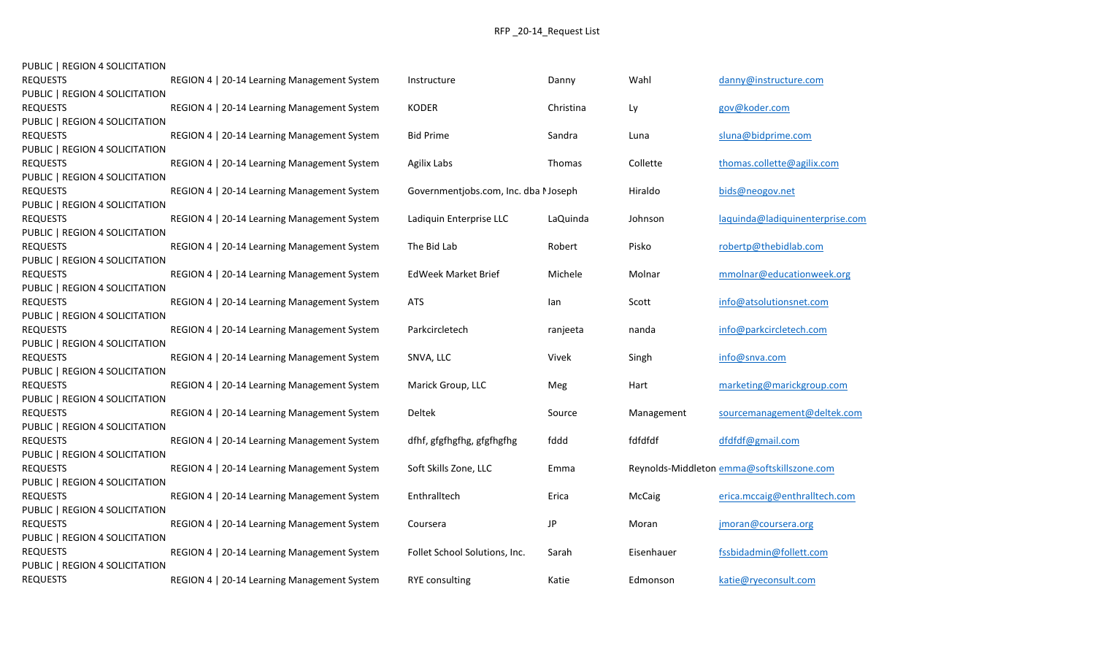| PUBLIC   REGION 4 SOLICITATION |  |  |
|--------------------------------|--|--|
|--------------------------------|--|--|

| <b>REQUESTS</b>                | REGION 4   20-14 Learning Management System | Instructure                         | Danny     | Wahl       | danny@instructure.com                      |
|--------------------------------|---------------------------------------------|-------------------------------------|-----------|------------|--------------------------------------------|
| PUBLIC   REGION 4 SOLICITATION |                                             |                                     |           |            |                                            |
| <b>REQUESTS</b>                | REGION 4   20-14 Learning Management System | <b>KODER</b>                        | Christina | Ly         | gov@koder.com                              |
| PUBLIC   REGION 4 SOLICITATION |                                             |                                     |           |            |                                            |
| <b>REQUESTS</b>                | REGION 4   20-14 Learning Management System | <b>Bid Prime</b>                    | Sandra    | Luna       | sluna@bidprime.com                         |
| PUBLIC   REGION 4 SOLICITATION |                                             |                                     |           |            |                                            |
| <b>REQUESTS</b>                | REGION 4   20-14 Learning Management System | <b>Agilix Labs</b>                  | Thomas    | Collette   | thomas.collette@agilix.com                 |
| PUBLIC   REGION 4 SOLICITATION |                                             |                                     |           |            |                                            |
| <b>REQUESTS</b>                | REGION 4   20-14 Learning Management System | Governmentjobs.com, Inc. dba Moseph |           | Hiraldo    | bids@neogov.net                            |
| PUBLIC   REGION 4 SOLICITATION |                                             |                                     |           |            |                                            |
| <b>REQUESTS</b>                | REGION 4   20-14 Learning Management System | Ladiquin Enterprise LLC             | LaQuinda  | Johnson    | laquinda@ladiquinenterprise.com            |
| PUBLIC   REGION 4 SOLICITATION |                                             |                                     |           |            |                                            |
| <b>REQUESTS</b>                | REGION 4   20-14 Learning Management System | The Bid Lab                         | Robert    | Pisko      | robertp@thebidlab.com                      |
| PUBLIC   REGION 4 SOLICITATION |                                             |                                     |           |            |                                            |
| <b>REQUESTS</b>                | REGION 4   20-14 Learning Management System | EdWeek Market Brief                 | Michele   | Molnar     | mmolnar@educationweek.org                  |
| PUBLIC   REGION 4 SOLICITATION |                                             |                                     |           |            |                                            |
| <b>REQUESTS</b>                | REGION 4   20-14 Learning Management System | <b>ATS</b>                          | lan       | Scott      | info@atsolutionsnet.com                    |
| PUBLIC   REGION 4 SOLICITATION |                                             |                                     |           |            |                                            |
| <b>REQUESTS</b>                | REGION 4   20-14 Learning Management System | Parkcircletech                      | ranjeeta  | nanda      | info@parkcircletech.com                    |
| PUBLIC   REGION 4 SOLICITATION |                                             |                                     |           |            |                                            |
| <b>REQUESTS</b>                | REGION 4   20-14 Learning Management System | SNVA, LLC                           | Vivek     | Singh      | info@snva.com                              |
| PUBLIC   REGION 4 SOLICITATION |                                             |                                     |           |            |                                            |
| <b>REQUESTS</b>                | REGION 4   20-14 Learning Management System | Marick Group, LLC                   | Meg       | Hart       | marketing@marickgroup.com                  |
| PUBLIC   REGION 4 SOLICITATION |                                             |                                     |           |            |                                            |
| <b>REQUESTS</b>                | REGION 4   20-14 Learning Management System | Deltek                              | Source    | Management | sourcemanagement@deltek.com                |
| PUBLIC   REGION 4 SOLICITATION |                                             |                                     |           |            |                                            |
| <b>REQUESTS</b>                | REGION 4   20-14 Learning Management System | dfhf, gfgfhgfhg, gfgfhgfhg          | fddd      | fdfdfdf    | dfdfdf@gmail.com                           |
| PUBLIC   REGION 4 SOLICITATION |                                             |                                     |           |            |                                            |
| <b>REQUESTS</b>                | REGION 4   20-14 Learning Management System | Soft Skills Zone, LLC               | Emma      |            | Reynolds-Middleton emma@softskillszone.com |
| PUBLIC   REGION 4 SOLICITATION |                                             |                                     |           |            |                                            |
| <b>REQUESTS</b>                | REGION 4   20-14 Learning Management System | Enthralltech                        | Erica     | McCaig     | erica.mccaig@enthralltech.com              |
| PUBLIC   REGION 4 SOLICITATION |                                             |                                     |           |            |                                            |
| <b>REQUESTS</b>                | REGION 4   20-14 Learning Management System | Coursera                            | JP        | Moran      | jmoran@coursera.org                        |
| PUBLIC   REGION 4 SOLICITATION |                                             |                                     |           |            |                                            |
| <b>REQUESTS</b>                | REGION 4   20-14 Learning Management System | Follet School Solutions, Inc.       | Sarah     | Eisenhauer | fssbidadmin@follett.com                    |
| PUBLIC   REGION 4 SOLICITATION |                                             |                                     |           |            |                                            |
| <b>REQUESTS</b>                | REGION 4   20-14 Learning Management System | <b>RYE</b> consulting               | Katie     | Edmonson   | katie@ryeconsult.com                       |
|                                |                                             |                                     |           |            |                                            |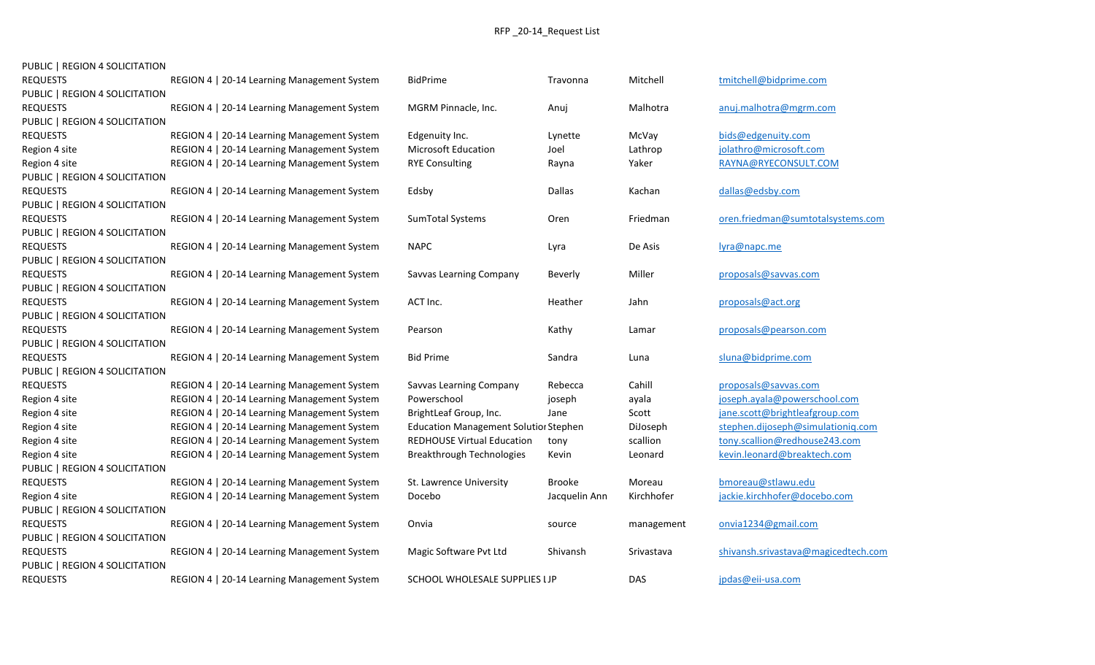| PUBLIC   REGION 4 SOLICITATION |  |
|--------------------------------|--|
|                                |  |

| <b>REQUESTS</b>                | REGION 4   20-14 Learning Management System | <b>BidPrime</b>                              | Travonna      | Mitchell   | tmitchell@bidprime.com              |
|--------------------------------|---------------------------------------------|----------------------------------------------|---------------|------------|-------------------------------------|
| PUBLIC   REGION 4 SOLICITATION |                                             |                                              |               |            |                                     |
| <b>REQUESTS</b>                | REGION 4   20-14 Learning Management System | MGRM Pinnacle, Inc.                          | Anuj          | Malhotra   | anuj.malhotra@mgrm.com              |
| PUBLIC   REGION 4 SOLICITATION |                                             |                                              |               |            |                                     |
| <b>REQUESTS</b>                | REGION 4   20-14 Learning Management System | Edgenuity Inc.                               | Lynette       | McVay      | bids@edgenuity.com                  |
| Region 4 site                  | REGION 4   20-14 Learning Management System | <b>Microsoft Education</b>                   | Joel          | Lathrop    | jolathro@microsoft.com              |
| Region 4 site                  | REGION 4   20-14 Learning Management System | <b>RYE Consulting</b>                        | Rayna         | Yaker      | RAYNA@RYECONSULT.COM                |
| PUBLIC   REGION 4 SOLICITATION |                                             |                                              |               |            |                                     |
| <b>REQUESTS</b>                | REGION 4   20-14 Learning Management System | Edsby                                        | Dallas        | Kachan     | dallas@edsby.com                    |
| PUBLIC   REGION 4 SOLICITATION |                                             |                                              |               |            |                                     |
| <b>REQUESTS</b>                | REGION 4   20-14 Learning Management System | SumTotal Systems                             | Oren          | Friedman   | oren.friedman@sumtotalsystems.com   |
| PUBLIC   REGION 4 SOLICITATION |                                             |                                              |               |            |                                     |
| <b>REQUESTS</b>                | REGION 4   20-14 Learning Management System | <b>NAPC</b>                                  | Lyra          | De Asis    | lyra@napc.me                        |
| PUBLIC   REGION 4 SOLICITATION |                                             |                                              |               |            |                                     |
| <b>REQUESTS</b>                | REGION 4   20-14 Learning Management System | Savvas Learning Company                      | Beverly       | Miller     | proposals@savvas.com                |
| PUBLIC   REGION 4 SOLICITATION |                                             |                                              |               |            |                                     |
| <b>REQUESTS</b>                | REGION 4   20-14 Learning Management System | ACT Inc.                                     | Heather       | Jahn       | proposals@act.org                   |
| PUBLIC   REGION 4 SOLICITATION |                                             |                                              |               |            |                                     |
| <b>REQUESTS</b>                | REGION 4   20-14 Learning Management System | Pearson                                      | Kathy         | Lamar      | proposals@pearson.com               |
| PUBLIC   REGION 4 SOLICITATION |                                             |                                              |               |            |                                     |
| <b>REQUESTS</b>                | REGION 4   20-14 Learning Management System | <b>Bid Prime</b>                             | Sandra        | Luna       | sluna@bidprime.com                  |
| PUBLIC   REGION 4 SOLICITATION |                                             |                                              |               |            |                                     |
| <b>REQUESTS</b>                | REGION 4   20-14 Learning Management System | Savvas Learning Company                      | Rebecca       | Cahill     | proposals@savvas.com                |
| Region 4 site                  | REGION 4   20-14 Learning Management System | Powerschool                                  | joseph        | ayala      | joseph.ayala@powerschool.com        |
| Region 4 site                  | REGION 4   20-14 Learning Management System | BrightLeaf Group, Inc.                       | Jane          | Scott      | jane.scott@brightleafgroup.com      |
| Region 4 site                  | REGION 4   20-14 Learning Management System | <b>Education Management Solutior Stephen</b> |               | DiJoseph   | stephen.dijoseph@simulationiq.com   |
| Region 4 site                  | REGION 4   20-14 Learning Management System | <b>REDHOUSE Virtual Education</b>            | tony          | scallion   | tony.scallion@redhouse243.com       |
| Region 4 site                  | REGION 4   20-14 Learning Management System | <b>Breakthrough Technologies</b>             | Kevin         | Leonard    | kevin.leonard@breaktech.com         |
| PUBLIC   REGION 4 SOLICITATION |                                             |                                              |               |            |                                     |
| <b>REQUESTS</b>                | REGION 4   20-14 Learning Management System | St. Lawrence University                      | <b>Brooke</b> | Moreau     | bmoreau@stlawu.edu                  |
| Region 4 site                  | REGION 4   20-14 Learning Management System | Docebo                                       | Jacquelin Ann | Kirchhofer | jackie.kirchhofer@docebo.com        |
| PUBLIC   REGION 4 SOLICITATION |                                             |                                              |               |            |                                     |
| <b>REQUESTS</b>                | REGION 4   20-14 Learning Management System | Onvia                                        | source        | management | onvia1234@gmail.com                 |
| PUBLIC   REGION 4 SOLICITATION |                                             |                                              |               |            |                                     |
| <b>REQUESTS</b>                | REGION 4   20-14 Learning Management System | Magic Software Pvt Ltd                       | Shivansh      | Srivastava | shivansh.srivastava@magicedtech.com |
| PUBLIC   REGION 4 SOLICITATION |                                             |                                              |               |            |                                     |
| <b>REQUESTS</b>                | REGION 4   20-14 Learning Management System | SCHOOL WHOLESALE SUPPLIES I JP               |               | DAS        | jpdas@eii-usa.com                   |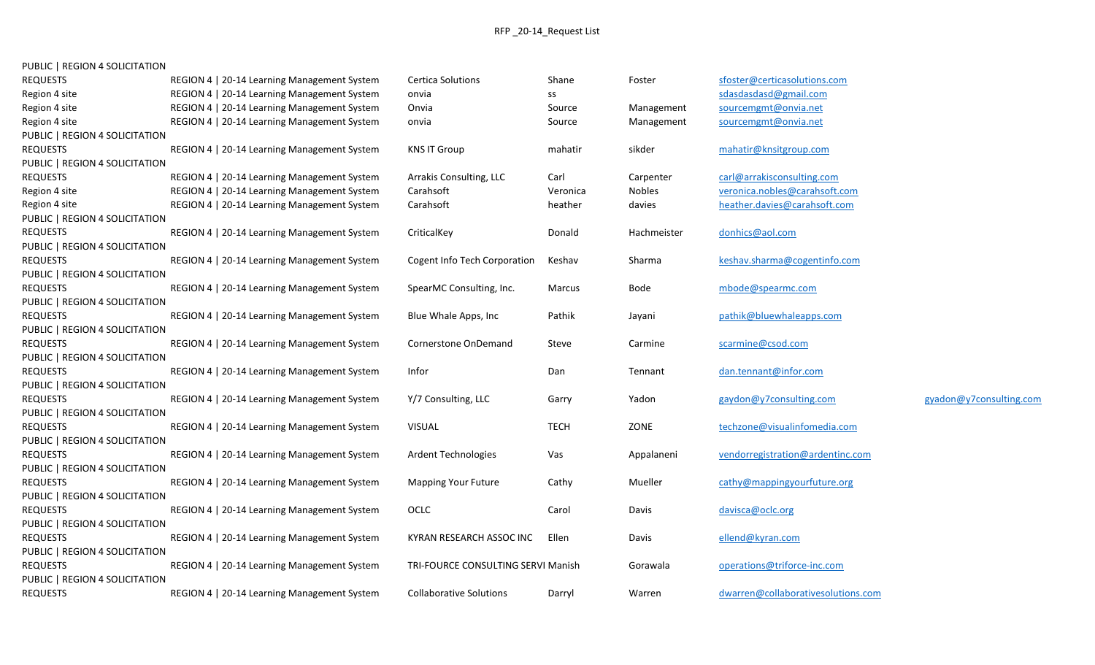| <b>REQUESTS</b>                | REGION 4   20-14 Learning Management System | <b>Certica Solutions</b>           | Shane       | Foster      | sfoster@certicasolutions.com       |                         |
|--------------------------------|---------------------------------------------|------------------------------------|-------------|-------------|------------------------------------|-------------------------|
| Region 4 site                  | REGION 4   20-14 Learning Management System | onvia                              | SS          |             | sdasdasdasd@gmail.com              |                         |
| Region 4 site                  | REGION 4   20-14 Learning Management System | Onvia                              | Source      | Management  | sourcemgmt@onvia.net               |                         |
| Region 4 site                  | REGION 4   20-14 Learning Management System | onvia                              | Source      | Management  | sourcemgmt@onvia.net               |                         |
| PUBLIC   REGION 4 SOLICITATION |                                             |                                    |             |             |                                    |                         |
| <b>REQUESTS</b>                | REGION 4   20-14 Learning Management System | <b>KNS IT Group</b>                | mahatir     | sikder      | mahatir@knsitgroup.com             |                         |
| PUBLIC   REGION 4 SOLICITATION |                                             |                                    |             |             |                                    |                         |
| <b>REQUESTS</b>                | REGION 4   20-14 Learning Management System | Arrakis Consulting, LLC            | Carl        | Carpenter   | carl@arrakisconsulting.com         |                         |
| Region 4 site                  | REGION 4   20-14 Learning Management System | Carahsoft                          | Veronica    | Nobles      | veronica.nobles@carahsoft.com      |                         |
| Region 4 site                  | REGION 4   20-14 Learning Management System | Carahsoft                          | heather     | davies      | heather.davies@carahsoft.com       |                         |
| PUBLIC   REGION 4 SOLICITATION |                                             |                                    |             |             |                                    |                         |
| <b>REQUESTS</b>                | REGION 4   20-14 Learning Management System | CriticalKey                        | Donald      | Hachmeister | donhics@aol.com                    |                         |
| PUBLIC   REGION 4 SOLICITATION |                                             |                                    |             |             |                                    |                         |
| <b>REQUESTS</b>                | REGION 4   20-14 Learning Management System | Cogent Info Tech Corporation       | Keshav      | Sharma      | keshav.sharma@cogentinfo.com       |                         |
| PUBLIC   REGION 4 SOLICITATION |                                             |                                    |             |             |                                    |                         |
| <b>REQUESTS</b>                | REGION 4   20-14 Learning Management System | SpearMC Consulting, Inc.           | Marcus      | Bode        | mbode@spearmc.com                  |                         |
| PUBLIC   REGION 4 SOLICITATION |                                             |                                    |             |             |                                    |                         |
| <b>REQUESTS</b>                | REGION 4   20-14 Learning Management System | Blue Whale Apps, Inc               | Pathik      | Jayani      | pathik@bluewhaleapps.com           |                         |
| PUBLIC   REGION 4 SOLICITATION |                                             |                                    |             |             |                                    |                         |
| <b>REQUESTS</b>                | REGION 4   20-14 Learning Management System | Cornerstone OnDemand               | Steve       | Carmine     | scarmine@csod.com                  |                         |
| PUBLIC   REGION 4 SOLICITATION |                                             |                                    |             |             |                                    |                         |
| <b>REQUESTS</b>                | REGION 4   20-14 Learning Management System | Infor                              | Dan         | Tennant     | dan.tennant@infor.com              |                         |
| PUBLIC   REGION 4 SOLICITATION |                                             |                                    |             |             |                                    |                         |
| <b>REQUESTS</b>                | REGION 4   20-14 Learning Management System | Y/7 Consulting, LLC                | Garry       | Yadon       | gaydon@y7consulting.com            | gyadon@y7consulting.com |
| PUBLIC   REGION 4 SOLICITATION |                                             |                                    |             |             |                                    |                         |
| <b>REQUESTS</b>                | REGION 4   20-14 Learning Management System | <b>VISUAL</b>                      | <b>TECH</b> | ZONE        | techzone@visualinfomedia.com       |                         |
| PUBLIC   REGION 4 SOLICITATION |                                             |                                    |             |             |                                    |                         |
| <b>REQUESTS</b>                | REGION 4   20-14 Learning Management System | <b>Ardent Technologies</b>         | Vas         | Appalaneni  | vendorregistration@ardentinc.com   |                         |
| PUBLIC   REGION 4 SOLICITATION |                                             |                                    |             |             |                                    |                         |
| <b>REQUESTS</b>                | REGION 4   20-14 Learning Management System | <b>Mapping Your Future</b>         | Cathy       | Mueller     | cathy@mappingyourfuture.org        |                         |
| PUBLIC   REGION 4 SOLICITATION |                                             |                                    |             |             |                                    |                         |
| <b>REQUESTS</b>                | REGION 4   20-14 Learning Management System | OCLC                               | Carol       | Davis       | davisca@oclc.org                   |                         |
| PUBLIC   REGION 4 SOLICITATION |                                             |                                    |             |             |                                    |                         |
| <b>REQUESTS</b>                | REGION 4   20-14 Learning Management System | KYRAN RESEARCH ASSOC INC           | Ellen       | Davis       | ellend@kyran.com                   |                         |
| PUBLIC   REGION 4 SOLICITATION |                                             |                                    |             |             |                                    |                         |
| <b>REQUESTS</b>                | REGION 4   20-14 Learning Management System | TRI-FOURCE CONSULTING SERVI Manish |             | Gorawala    | operations@triforce-inc.com        |                         |
| PUBLIC   REGION 4 SOLICITATION |                                             |                                    |             |             |                                    |                         |
| <b>REQUESTS</b>                | REGION 4   20-14 Learning Management System | Collaborative Solutions            | Darryl      | Warren      | dwarren@collaborativesolutions.com |                         |
|                                |                                             |                                    |             |             |                                    |                         |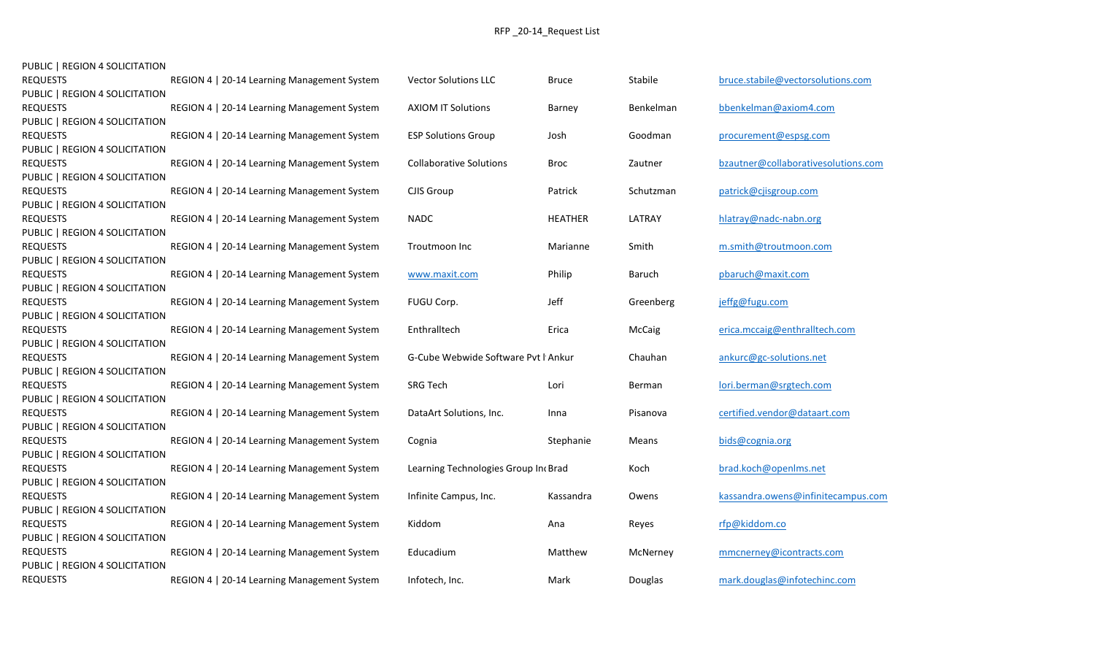| PUBLIC   REGION 4 SOLICITATION |                                             |                                     |                |               |                                     |
|--------------------------------|---------------------------------------------|-------------------------------------|----------------|---------------|-------------------------------------|
| <b>REQUESTS</b>                | REGION 4   20-14 Learning Management System | <b>Vector Solutions LLC</b>         | <b>Bruce</b>   | Stabile       | bruce.stabile@vectorsolutions.com   |
| PUBLIC   REGION 4 SOLICITATION |                                             |                                     |                |               |                                     |
| <b>REQUESTS</b>                | REGION 4   20-14 Learning Management System | <b>AXIOM IT Solutions</b>           | Barney         | Benkelman     | bbenkelman@axiom4.com               |
| PUBLIC   REGION 4 SOLICITATION |                                             |                                     |                |               |                                     |
| <b>REQUESTS</b>                | REGION 4   20-14 Learning Management System | <b>ESP Solutions Group</b>          | Josh           | Goodman       | procurement@espsg.com               |
| PUBLIC   REGION 4 SOLICITATION |                                             |                                     |                |               |                                     |
| <b>REQUESTS</b>                | REGION 4   20-14 Learning Management System | <b>Collaborative Solutions</b>      | <b>Broc</b>    | Zautner       | bzautner@collaborativesolutions.com |
| PUBLIC   REGION 4 SOLICITATION |                                             |                                     |                |               |                                     |
| <b>REQUESTS</b>                | REGION 4   20-14 Learning Management System | CJIS Group                          | Patrick        | Schutzman     | patrick@cjisgroup.com               |
| PUBLIC   REGION 4 SOLICITATION |                                             |                                     |                |               |                                     |
| <b>REQUESTS</b>                | REGION 4   20-14 Learning Management System | <b>NADC</b>                         | <b>HEATHER</b> | LATRAY        | hlatray@nadc-nabn.org               |
| PUBLIC   REGION 4 SOLICITATION |                                             |                                     |                |               |                                     |
| <b>REQUESTS</b>                | REGION 4   20-14 Learning Management System | Troutmoon Inc                       | Marianne       | Smith         | m.smith@troutmoon.com               |
| PUBLIC   REGION 4 SOLICITATION |                                             |                                     |                |               |                                     |
| <b>REQUESTS</b>                | REGION 4   20-14 Learning Management System | www.maxit.com                       | Philip         | <b>Baruch</b> | pbaruch@maxit.com                   |
| PUBLIC   REGION 4 SOLICITATION |                                             |                                     |                |               |                                     |
| <b>REQUESTS</b>                | REGION 4   20-14 Learning Management System | FUGU Corp.                          | Jeff           | Greenberg     | jeffg@fugu.com                      |
| PUBLIC   REGION 4 SOLICITATION |                                             |                                     |                |               |                                     |
| <b>REQUESTS</b>                | REGION 4   20-14 Learning Management System | Enthralltech                        | Erica          | McCaig        | erica.mccaig@enthralltech.com       |
| PUBLIC   REGION 4 SOLICITATION |                                             |                                     |                |               |                                     |
| <b>REQUESTS</b>                | REGION 4   20-14 Learning Management System | G-Cube Webwide Software Pvt I Ankur |                | Chauhan       | ankurc@gc-solutions.net             |
| PUBLIC   REGION 4 SOLICITATION |                                             |                                     |                |               |                                     |
| <b>REQUESTS</b>                | REGION 4   20-14 Learning Management System | <b>SRG Tech</b>                     | Lori           | Berman        | lori.berman@srgtech.com             |
| PUBLIC   REGION 4 SOLICITATION |                                             |                                     |                |               |                                     |
| <b>REQUESTS</b>                | REGION 4   20-14 Learning Management System | DataArt Solutions, Inc.             | Inna           | Pisanova      | certified.vendor@dataart.com        |
| PUBLIC   REGION 4 SOLICITATION |                                             |                                     |                |               |                                     |
| <b>REQUESTS</b>                | REGION 4   20-14 Learning Management System | Cognia                              | Stephanie      | Means         | bids@cognia.org                     |
| PUBLIC   REGION 4 SOLICITATION |                                             |                                     |                |               |                                     |
| <b>REQUESTS</b>                | REGION 4   20-14 Learning Management System | Learning Technologies Group In Grad |                | Koch          | brad.koch@openIms.net               |
| PUBLIC   REGION 4 SOLICITATION |                                             |                                     |                |               |                                     |
| <b>REQUESTS</b>                | REGION 4   20-14 Learning Management System | Infinite Campus, Inc.               | Kassandra      | Owens         | kassandra.owens@infinitecampus.com  |
| PUBLIC   REGION 4 SOLICITATION |                                             |                                     |                |               |                                     |
| <b>REQUESTS</b>                | REGION 4   20-14 Learning Management System | Kiddom                              | Ana            | Reyes         | rfp@kiddom.co                       |
| PUBLIC   REGION 4 SOLICITATION |                                             |                                     |                |               |                                     |
| <b>REQUESTS</b>                | REGION 4   20-14 Learning Management System | Educadium                           | Matthew        | McNerney      | mmcnerney@icontracts.com            |
| PUBLIC   REGION 4 SOLICITATION |                                             |                                     |                |               |                                     |
| <b>REQUESTS</b>                | REGION 4   20-14 Learning Management System | Infotech, Inc.                      | Mark           | Douglas       | mark.douglas@infotechinc.com        |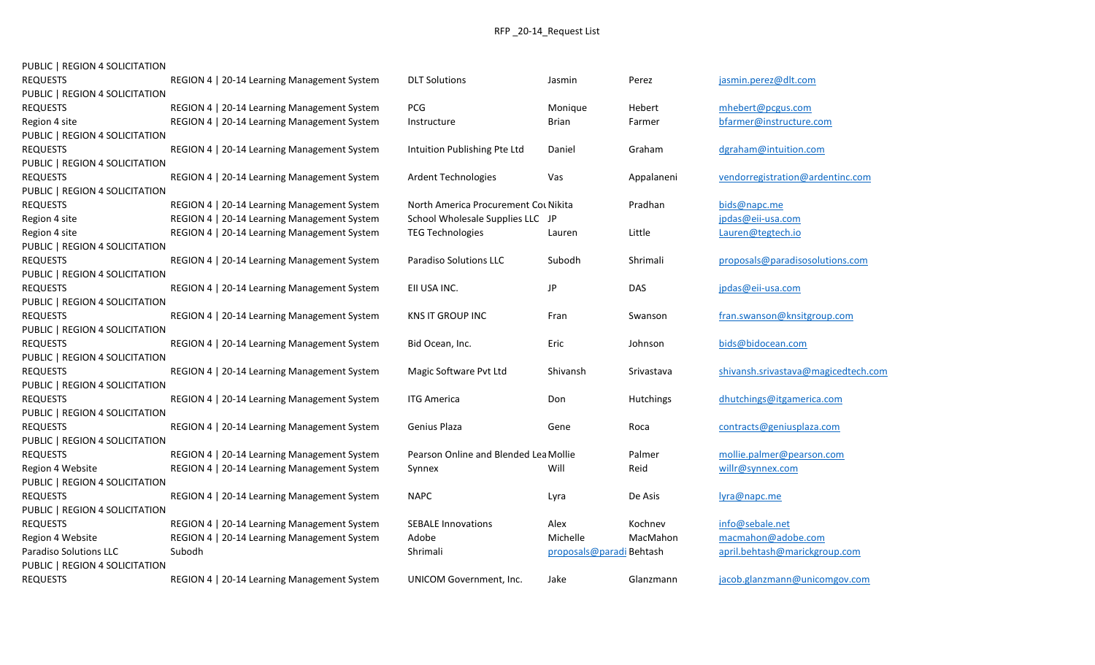| <b>REQUESTS</b>                | REGION 4   20-14 Learning Management System | <b>DLT Solutions</b>                  | Jasmin                  | Perez      | jasmin.perez@dlt.com                |
|--------------------------------|---------------------------------------------|---------------------------------------|-------------------------|------------|-------------------------------------|
| PUBLIC   REGION 4 SOLICITATION |                                             |                                       |                         |            |                                     |
| <b>REQUESTS</b>                | REGION 4   20-14 Learning Management System | PCG                                   | Monique                 | Hebert     | mhebert@pcgus.com                   |
| Region 4 site                  | REGION 4   20-14 Learning Management System | Instructure                           | <b>Brian</b>            | Farmer     | bfarmer@instructure.com             |
| PUBLIC   REGION 4 SOLICITATION |                                             |                                       |                         |            |                                     |
| <b>REQUESTS</b>                | REGION 4   20-14 Learning Management System | Intuition Publishing Pte Ltd          | Daniel                  | Graham     | dgraham@intuition.com               |
| PUBLIC   REGION 4 SOLICITATION |                                             |                                       |                         |            |                                     |
| <b>REQUESTS</b>                | REGION 4   20-14 Learning Management System | <b>Ardent Technologies</b>            | Vas                     | Appalaneni | vendorregistration@ardentinc.com    |
| PUBLIC   REGION 4 SOLICITATION |                                             |                                       |                         |            |                                     |
| <b>REQUESTS</b>                | REGION 4   20-14 Learning Management System | North America Procurement Cou Nikita  |                         | Pradhan    | bids@napc.me                        |
| Region 4 site                  | REGION 4   20-14 Learning Management System | School Wholesale Supplies LLC JP      |                         |            | jpdas@eii-usa.com                   |
| Region 4 site                  | REGION 4   20-14 Learning Management System | <b>TEG Technologies</b>               | Lauren                  | Little     | Lauren@tegtech.io                   |
| PUBLIC   REGION 4 SOLICITATION |                                             |                                       |                         |            |                                     |
| <b>REQUESTS</b>                | REGION 4   20-14 Learning Management System | Paradiso Solutions LLC                | Subodh                  | Shrimali   | proposals@paradisosolutions.com     |
| PUBLIC   REGION 4 SOLICITATION |                                             |                                       |                         |            |                                     |
| <b>REQUESTS</b>                | REGION 4   20-14 Learning Management System | EII USA INC.                          | JP                      | <b>DAS</b> | jpdas@eii-usa.com                   |
| PUBLIC   REGION 4 SOLICITATION |                                             |                                       |                         |            |                                     |
| <b>REQUESTS</b>                | REGION 4   20-14 Learning Management System | KNS IT GROUP INC                      | Fran                    | Swanson    | fran.swanson@knsitgroup.com         |
| PUBLIC   REGION 4 SOLICITATION |                                             |                                       |                         |            |                                     |
| <b>REQUESTS</b>                | REGION 4   20-14 Learning Management System | Bid Ocean, Inc.                       | Eric                    | Johnson    | bids@bidocean.com                   |
| PUBLIC   REGION 4 SOLICITATION |                                             |                                       |                         |            |                                     |
| <b>REQUESTS</b>                | REGION 4   20-14 Learning Management System | Magic Software Pvt Ltd                | Shivansh                | Srivastava | shivansh.srivastava@magicedtech.com |
| PUBLIC   REGION 4 SOLICITATION |                                             |                                       |                         |            |                                     |
| <b>REQUESTS</b>                | REGION 4   20-14 Learning Management System | <b>ITG America</b>                    | Don                     | Hutchings  | dhutchings@itgamerica.com           |
| PUBLIC   REGION 4 SOLICITATION |                                             |                                       |                         |            |                                     |
| <b>REQUESTS</b>                | REGION 4   20-14 Learning Management System | Genius Plaza                          | Gene                    | Roca       | contracts@geniusplaza.com           |
| PUBLIC   REGION 4 SOLICITATION |                                             |                                       |                         |            |                                     |
| <b>REQUESTS</b>                | REGION 4   20-14 Learning Management System | Pearson Online and Blended Lea Mollie |                         | Palmer     | mollie.palmer@pearson.com           |
| Region 4 Website               | REGION 4   20-14 Learning Management System | Synnex                                | Will                    | Reid       | willr@synnex.com                    |
| PUBLIC   REGION 4 SOLICITATION |                                             |                                       |                         |            |                                     |
| <b>REQUESTS</b>                | REGION 4   20-14 Learning Management System | <b>NAPC</b>                           | Lyra                    | De Asis    | lyra@napc.me                        |
| PUBLIC   REGION 4 SOLICITATION |                                             |                                       |                         |            |                                     |
| <b>REQUESTS</b>                | REGION 4   20-14 Learning Management System | <b>SEBALE Innovations</b>             | Alex                    | Kochnev    | info@sebale.net                     |
| Region 4 Website               | REGION 4   20-14 Learning Management System | Adobe                                 | Michelle                | MacMahon   | macmahon@adobe.com                  |
| Paradiso Solutions LLC         | Subodh                                      | Shrimali                              | proposals@paradiBehtash |            | april.behtash@marickgroup.com       |
| PUBLIC   REGION 4 SOLICITATION |                                             |                                       |                         |            |                                     |
| <b>REQUESTS</b>                | REGION 4   20-14 Learning Management System | UNICOM Government, Inc.               | Jake                    | Glanzmann  | jacob.glanzmann@unicomgov.com       |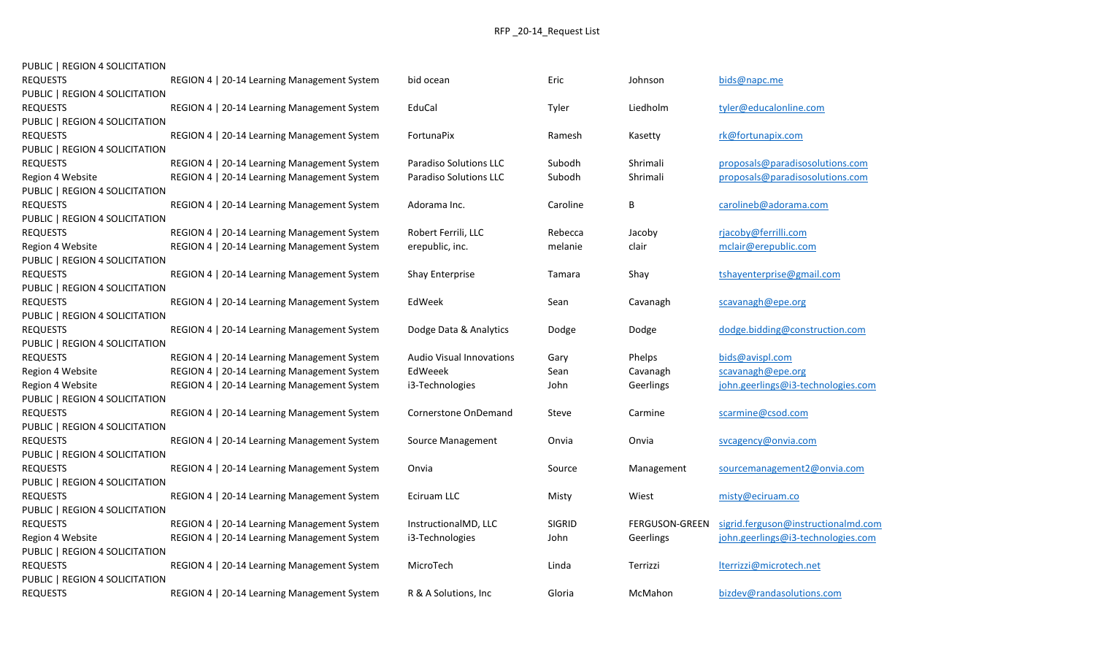| PUBLIC   REGION 4 SOLICITATION |                                             |                                 |               |                       |                                     |
|--------------------------------|---------------------------------------------|---------------------------------|---------------|-----------------------|-------------------------------------|
| <b>REQUESTS</b>                | REGION 4   20-14 Learning Management System | bid ocean                       | Eric          | Johnson               | bids@napc.me                        |
| PUBLIC   REGION 4 SOLICITATION |                                             |                                 |               |                       |                                     |
| <b>REQUESTS</b>                | REGION 4   20-14 Learning Management System | EduCal                          | Tyler         | Liedholm              | tyler@educalonline.com              |
| PUBLIC   REGION 4 SOLICITATION |                                             |                                 |               |                       |                                     |
| <b>REQUESTS</b>                | REGION 4   20-14 Learning Management System | FortunaPix                      | Ramesh        | Kasetty               | rk@fortunapix.com                   |
| PUBLIC   REGION 4 SOLICITATION |                                             |                                 |               |                       |                                     |
| <b>REQUESTS</b>                | REGION 4   20-14 Learning Management System | <b>Paradiso Solutions LLC</b>   | Subodh        | Shrimali              | proposals@paradisosolutions.com     |
| Region 4 Website               | REGION 4   20-14 Learning Management System | <b>Paradiso Solutions LLC</b>   | Subodh        | Shrimali              | proposals@paradisosolutions.com     |
| PUBLIC   REGION 4 SOLICITATION |                                             |                                 |               |                       |                                     |
| <b>REQUESTS</b>                | REGION 4   20-14 Learning Management System | Adorama Inc.                    | Caroline      | В                     | carolineb@adorama.com               |
| PUBLIC   REGION 4 SOLICITATION |                                             |                                 |               |                       |                                     |
| <b>REQUESTS</b>                | REGION 4   20-14 Learning Management System | Robert Ferrili, LLC             | Rebecca       | Jacoby                | rjacoby@ferrilli.com                |
| Region 4 Website               | REGION 4   20-14 Learning Management System | erepublic, inc.                 | melanie       | clair                 | mclair@erepublic.com                |
| PUBLIC   REGION 4 SOLICITATION |                                             |                                 |               |                       |                                     |
| <b>REQUESTS</b>                | REGION 4   20-14 Learning Management System | <b>Shay Enterprise</b>          | Tamara        | Shay                  | tshayenterprise@gmail.com           |
| PUBLIC   REGION 4 SOLICITATION |                                             |                                 |               |                       |                                     |
| <b>REQUESTS</b>                | REGION 4   20-14 Learning Management System | EdWeek                          | Sean          | Cavanagh              | scavanagh@epe.org                   |
| PUBLIC   REGION 4 SOLICITATION |                                             |                                 |               |                       |                                     |
| <b>REQUESTS</b>                | REGION 4   20-14 Learning Management System | Dodge Data & Analytics          | Dodge         | Dodge                 | dodge.bidding@construction.com      |
| PUBLIC   REGION 4 SOLICITATION |                                             |                                 |               |                       |                                     |
| <b>REQUESTS</b>                | REGION 4   20-14 Learning Management System | <b>Audio Visual Innovations</b> | Gary          | Phelps                | bids@avispl.com                     |
| Region 4 Website               | REGION 4   20-14 Learning Management System | EdWeeek                         | Sean          | Cavanagh              | scavanagh@epe.org                   |
| Region 4 Website               | REGION 4   20-14 Learning Management System | i3-Technologies                 | John          | Geerlings             | john.geerlings@i3-technologies.com  |
| PUBLIC   REGION 4 SOLICITATION |                                             |                                 |               |                       |                                     |
| <b>REQUESTS</b>                | REGION 4   20-14 Learning Management System | Cornerstone OnDemand            | Steve         | Carmine               | scarmine@csod.com                   |
| PUBLIC   REGION 4 SOLICITATION |                                             |                                 |               |                       |                                     |
| <b>REQUESTS</b>                | REGION 4   20-14 Learning Management System | Source Management               | Onvia         | Onvia                 | svcagency@onvia.com                 |
| PUBLIC   REGION 4 SOLICITATION |                                             |                                 |               |                       |                                     |
| <b>REQUESTS</b>                | REGION 4   20-14 Learning Management System | Onvia                           | Source        | Management            | sourcemanagement2@onvia.com         |
| PUBLIC   REGION 4 SOLICITATION |                                             |                                 |               |                       |                                     |
| <b>REQUESTS</b>                | REGION 4   20-14 Learning Management System | Eciruam LLC                     | Misty         | Wiest                 | misty@eciruam.co                    |
| PUBLIC   REGION 4 SOLICITATION |                                             |                                 |               |                       |                                     |
| <b>REQUESTS</b>                | REGION 4   20-14 Learning Management System | InstructionalMD, LLC            | <b>SIGRID</b> | <b>FERGUSON-GREEN</b> | sigrid.ferguson@instructionalmd.com |
| Region 4 Website               | REGION 4   20-14 Learning Management System | i3-Technologies                 | John          | Geerlings             | john.geerlings@i3-technologies.com  |
| PUBLIC   REGION 4 SOLICITATION |                                             |                                 |               |                       |                                     |
| <b>REQUESTS</b>                | REGION 4   20-14 Learning Management System | MicroTech                       | Linda         | Terrizzi              | lterrizzi@microtech.net             |
| PUBLIC   REGION 4 SOLICITATION |                                             |                                 |               |                       |                                     |
| <b>REQUESTS</b>                | REGION 4   20-14 Learning Management System | R & A Solutions, Inc.           | Gloria        | McMahon               | bizdev@randasolutions.com           |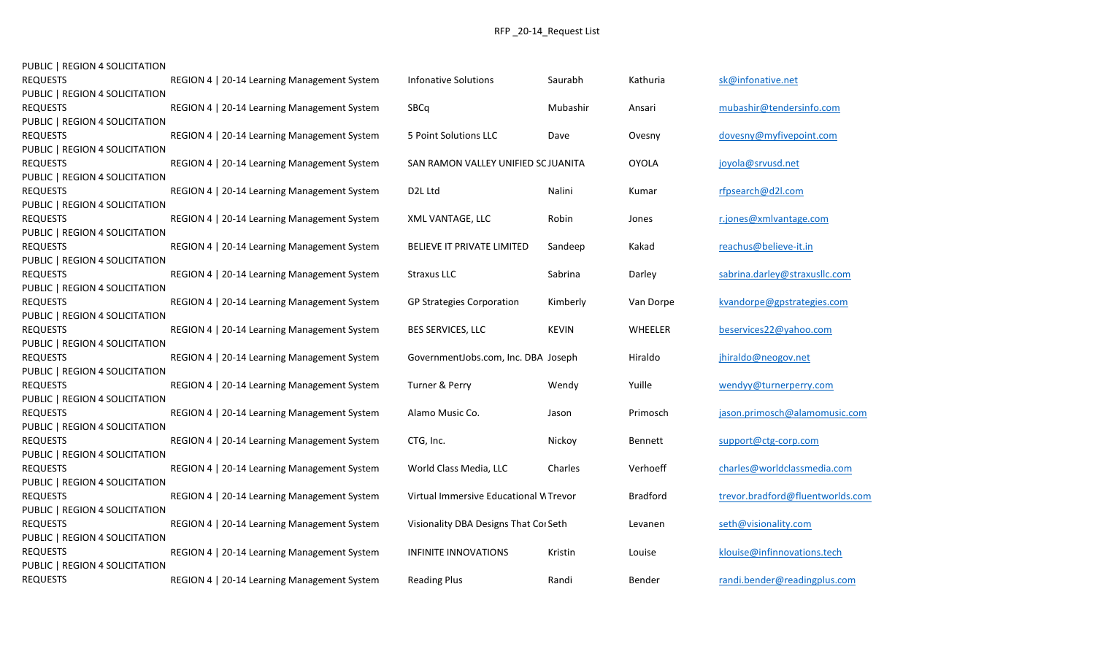| <b>REQUESTS</b>                | REGION 4   20-14 Learning Management System | <b>Infonative Solutions</b>           | Saurabh      | Kathuria        | sk@infonative.net                |
|--------------------------------|---------------------------------------------|---------------------------------------|--------------|-----------------|----------------------------------|
| PUBLIC   REGION 4 SOLICITATION |                                             |                                       |              |                 |                                  |
| <b>REQUESTS</b>                | REGION 4   20-14 Learning Management System | SBCq                                  | Mubashir     | Ansari          | mubashir@tendersinfo.com         |
| PUBLIC   REGION 4 SOLICITATION |                                             |                                       |              |                 |                                  |
| <b>REQUESTS</b>                | REGION 4   20-14 Learning Management System | 5 Point Solutions LLC                 | Dave         | Ovesny          | dovesny@myfivepoint.com          |
| PUBLIC   REGION 4 SOLICITATION |                                             |                                       |              |                 |                                  |
| <b>REQUESTS</b>                | REGION 4   20-14 Learning Management System | SAN RAMON VALLEY UNIFIED SCJUANITA    |              | <b>OYOLA</b>    | joyola@srvusd.net                |
| PUBLIC   REGION 4 SOLICITATION |                                             |                                       |              |                 |                                  |
| <b>REQUESTS</b>                | REGION 4   20-14 Learning Management System | D <sub>2</sub> L Ltd                  | Nalini       | Kumar           | rfpsearch@d2l.com                |
| PUBLIC   REGION 4 SOLICITATION |                                             |                                       |              |                 |                                  |
| <b>REQUESTS</b>                | REGION 4   20-14 Learning Management System | XML VANTAGE, LLC                      | Robin        | Jones           | r.jones@xmlvantage.com           |
| PUBLIC   REGION 4 SOLICITATION |                                             |                                       |              |                 |                                  |
| <b>REQUESTS</b>                | REGION 4   20-14 Learning Management System | BELIEVE IT PRIVATE LIMITED            | Sandeep      | Kakad           | reachus@believe-it.in            |
| PUBLIC   REGION 4 SOLICITATION |                                             |                                       |              |                 |                                  |
| <b>REQUESTS</b>                | REGION 4   20-14 Learning Management System | <b>Straxus LLC</b>                    | Sabrina      | Darley          | sabrina.darley@straxusllc.com    |
| PUBLIC   REGION 4 SOLICITATION |                                             |                                       |              |                 |                                  |
| <b>REQUESTS</b>                | REGION 4   20-14 Learning Management System | <b>GP Strategies Corporation</b>      | Kimberly     | Van Dorpe       | kvandorpe@gpstrategies.com       |
| PUBLIC   REGION 4 SOLICITATION |                                             |                                       |              |                 |                                  |
| <b>REQUESTS</b>                | REGION 4   20-14 Learning Management System | BES SERVICES, LLC                     | <b>KEVIN</b> | WHEELER         | beservices22@yahoo.com           |
| PUBLIC   REGION 4 SOLICITATION |                                             |                                       |              |                 |                                  |
| <b>REQUESTS</b>                | REGION 4   20-14 Learning Management System | GovernmentJobs.com, Inc. DBA Joseph   |              | Hiraldo         | jhiraldo@neogov.net              |
| PUBLIC   REGION 4 SOLICITATION |                                             |                                       |              |                 |                                  |
| <b>REQUESTS</b>                | REGION 4   20-14 Learning Management System | Turner & Perry                        | Wendy        | Yuille          | wendyy@turnerperry.com           |
| PUBLIC   REGION 4 SOLICITATION |                                             |                                       |              |                 |                                  |
| <b>REQUESTS</b>                | REGION 4   20-14 Learning Management System | Alamo Music Co.                       | Jason        | Primosch        | jason.primosch@alamomusic.com    |
| PUBLIC   REGION 4 SOLICITATION |                                             |                                       |              |                 |                                  |
| <b>REQUESTS</b>                | REGION 4   20-14 Learning Management System | CTG, Inc.                             | Nickoy       | Bennett         | support@ctg-corp.com             |
| PUBLIC   REGION 4 SOLICITATION |                                             |                                       |              |                 |                                  |
| <b>REQUESTS</b>                | REGION 4   20-14 Learning Management System | World Class Media, LLC                | Charles      | Verhoeff        | charles@worldclassmedia.com      |
| PUBLIC   REGION 4 SOLICITATION |                                             |                                       |              |                 |                                  |
| <b>REQUESTS</b>                | REGION 4   20-14 Learning Management System | Virtual Immersive Educational WTrevor |              | <b>Bradford</b> | trevor.bradford@fluentworlds.com |
| PUBLIC   REGION 4 SOLICITATION |                                             |                                       |              |                 |                                  |
| <b>REQUESTS</b>                | REGION 4   20-14 Learning Management System | Visionality DBA Designs That Cor Seth |              | Levanen         | seth@visionality.com             |
| PUBLIC   REGION 4 SOLICITATION |                                             |                                       |              |                 |                                  |
| <b>REQUESTS</b>                | REGION 4   20-14 Learning Management System | <b>INFINITE INNOVATIONS</b>           | Kristin      | Louise          | klouise@infinnovations.tech      |
| PUBLIC   REGION 4 SOLICITATION |                                             |                                       |              |                 |                                  |
| <b>REQUESTS</b>                | REGION 4   20-14 Learning Management System | <b>Reading Plus</b>                   | Randi        | Bender          | randi.bender@readingplus.com     |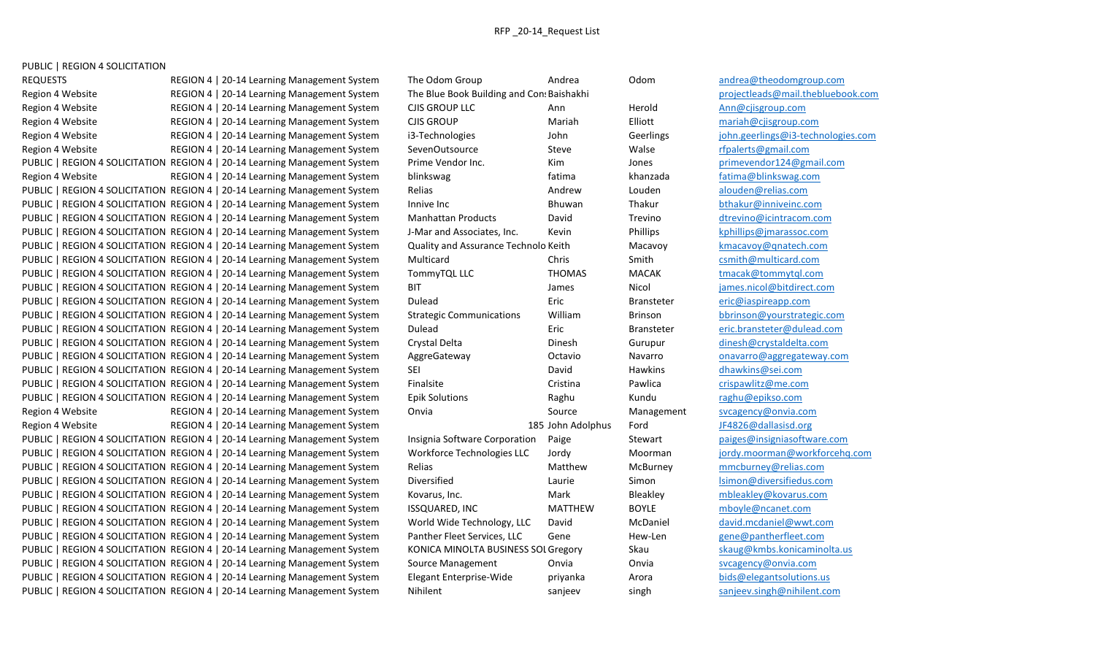REQUESTS Subset of the Global Alexandrey REGION 4 | 20-14 Learning Management System The Odom Group Andrea Andrea Odom [andrea@theodomgroup.com](mailto:andrea@theodomgroup.com) Region 4 Website **REGION 4 | 20-14 Learning Management System** The Blue Book Building and Cons Baishakhi [projectleads@mail.thebluebook.com](mailto:projectleads@mail.thebluebook.com) Region 4 Website **REGION 4 | 20-14 Learning Management System** CJIS GROUP LLC Ann Herold Herold Ann Ann Ann Ann Ann Region 4 Website **REGION 4 | 20-14 Learning Management System** CJIS GROUP Mariah Bliott Elliott [mariah@cjisgroup.com](mailto:mariah@cjisgroup.com) Region 4 Website **REGION 4 | 20-14 Learning Management System** i3-Technologies John Geerlings in the giohn.geerlings@i3-technologies.com Region 4 Website **REGION 4 | 20-14 Learning Management System** SevenOutsource Steve Walse Walse [rfpalerts@gmail.com](mailto:rfpalerts@gmail.com) PUBLIC | REGION 4 SOLICITATION REGION 4 | 20-14 Learning Management System Prime Vendor Inc. Kim Jones [primevendor124@gmail.com](mailto:primevendor124@gmail.com) Region 4 Website **REGION 4 | 20-14 Learning Management System** blinkswag fatima fatima khanzada [fatima@blinkswag.com](mailto:fatima@blinkswag.com) PUBLIC | REGION 4 SOLICITATION REGION 4 | 20-14 Learning Management System Relias Andrew Louden Louden [alouden@relias.com](mailto:alouden@relias.com) PUBLIC | REGION 4 SOLICITATION REGION 4 | 20-14 Learning Management System Innive Inc Bhuwan Thakur [bthakur@inniveinc.com](mailto:bthakur@inniveinc.com) PUBLIC | REGION 4 SOLICITATION REGION 4 | 20-14 Learning Management System Manhattan Products David Trevino [dtrevino@icintracom.com](mailto:dtrevino@icintracom.com) PUBLIC | REGION 4 SOLICITATION REGION 4 | 20-14 Learning Management System J-Mar and Associates, Inc. Kevin Phillips Phillips Phillips Phillips exercised exercises PUBLIC | REGION 4 SOLICITATION REGION 4 | 20-14 Learning Management System Quality and Assurance Technolo Keith Macavoy Macavoy Macavoy extension in the state of the Macavoy extension of the Macavoy extension of the Macavo PUBLIC | REGION 4 SOLICITATION REGION 4 | 20-14 Learning Management System Multicard Chris Chris Smith [csmith@multicard.com](mailto:csmith@multicard.com) PUBLIC | REGION 4 SOLICITATION REGION 4 | 20-14 Learning Management System TommyTQL LLC THOMAS MACAK [tmacak@tommytql.com](mailto:tmacak@tommytql.com) PUBLIC | REGION 4 SOLICITATION REGION 4 | 20-14 Learning Management System BIT James James Nicol innes inicol@bitdirect.com PUBLIC | REGION 4 SOLICITATION REGION 4 | 20-14 Learning Management System Dulead Eric Eric Bransteter [eric@iaspireapp.com](mailto:eric@iaspireapp.com) PUBLIC | REGION 4 SOLICITATION REGION 4 | 20-14 Learning Management System Strategic Communications William Brinson [bbrinson@yourstrategic.com](mailto:bbrinson@yourstrategic.com) PUBLIC | REGION 4 SOLICITATION REGION 4 | 20-14 Learning Management System Dulead Eric Eric Bransteter [eric.bransteter@dulead.com](mailto:eric.bransteter@dulead.com) PUBLIC | REGION 4 SOLICITATION REGION 4 | 20-14 Learning Management System Crystal Delta Dinesh Dinesh Gurupur [dinesh@crystaldelta.com](mailto:dinesh@crystaldelta.com) PUBLIC | REGION 4 SOLICITATION REGION 4 | 20-14 Learning Management System AggreGateway **Octavio** Octavio Navarro [onavarro@aggregateway.com](mailto:onavarro@aggregateway.com) PUBLIC | REGION 4 SOLICITATION REGION 4 | 20-14 Learning Management System SEI David David Hawkins Hawkins dhawkins dhawkins dhawkins dhawkins dhawkins dhawkins dhawkins dhawkins dhawkins dhawkins dhawkins dhawkins dhawkin PUBLIC | REGION 4 SOLICITATION REGION 4 | 20-14 Learning Management System Finalsite Cristina Pawlica Pawlica [crispawlitz@me.com](mailto:crispawlitz@me.com) PUBLIC | REGION 4 SOLICITATION REGION 4 | 20-14 Learning Management System Epik Solutions Raghu Kundu [raghu@epikso.com](mailto:raghu@epikso.com) Region 4 Website **REGION 4 | 20-14 Learning Management System** Onvia Source Management [svcagency@onvia.com](mailto:svcagency@onvia.com) Region 4 Website **REGION 4 | 20-14 Learning Management System** 185 John Adolphus Ford [JF4826@dallasisd.org](mailto:JF4826@dallasisd.org) PUBLIC | REGION 4 SOLICITATION REGION 4 | 20-14 Learning Management System linsignia Software Corporation Paige Stewart [paiges@insigniasoftware.com](mailto:paiges@insigniasoftware.com) PUBLIC | REGION 4 SOLICITATION REGION 4 | 20-14 Learning Management System Workforce Technologies LLC Jordy Moorman Moorman indv.moorman@workforcehg.com PUBLIC | REGION 4 SOLICITATION REGION 4 | 20-14 Learning Management System Relias Matthew Matthew McBurney [mmcburney@relias.com](mailto:mmcburney@relias.com) PUBLIC | REGION 4 SOLICITATION REGION 4 | 20-14 Learning Management System Diversified Laurie Laurie Simon Simon lsimon @diversifiedus.com PUBLIC | REGION 4 SOLICITATION REGION 4 | 20-14 Learning Management System Kovarus, Inc. Mark Bleakley Bleakley [mbleakley@kovarus.com](mailto:mbleakley@kovarus.com) PUBLIC | REGION 4 SOLICITATION REGION 4 | 20-14 Learning Management System ISSQUARED, INC MATTHEW BOYLE [mboyle@ncanet.com](mailto:mboyle@ncanet.com) PUBLIC | REGION 4 SOLICITATION REGION 4 | 20-14 Learning Management System World Wide Technology, LLC David McDaniel McDaniel [david.mcdaniel@wwt.com](mailto:david.mcdaniel@wwt.com) PUBLIC | REGION 4 SOLICITATION REGION 4 | 20-14 Learning Management System Panther Fleet Services, LLC Gene Hew-Len [gene@pantherfleet.com](mailto:gene@pantherfleet.com) PUBLIC | REGION 4 SOLICITATION REGION 4 | 20-14 Learning Management System KONICA MINOLTA BUSINESS SOL Gregory Skau [skaug@kmbs.konicaminolta.us](mailto:skaug@kmbs.konicaminolta.us) PUBLIC | REGION 4 SOLICITATION REGION 4 | 20-14 Learning Management System Source Management Onvia Onvia Onvia Sycagency@onvia.com PUBLIC | REGION 4 SOLICITATION REGION 4 | 20-14 Learning Management System Elegant Enterprise-Wide priyanka Arora [bids@elegantsolutions.us](mailto:bids@elegantsolutions.us) PUBLIC | REGION 4 SOLICITATION REGION 4 | 20-14 Learning Management System Nihilent sanjeev sanjeev singh [sanjeev.singh@nihilent.com](mailto:sanjeev.singh@nihilent.com)

| The Odom Group                             | Andrea            | Odom          |
|--------------------------------------------|-------------------|---------------|
| The Blue Book Building and Con: Baishakhi  |                   |               |
| CJIS GROUP LLC                             | Ann               | Herol         |
| CJIS GROUP                                 | Mariah            | Elliott       |
| 3-Technologies                             | John              | Geerli        |
| SevenOutsource                             | Steve             | Walse         |
| Prime Vendor Inc.                          | Kim               | Jones         |
| <b>olinkswag</b>                           | fatima            | khanz         |
| <b>Relias</b>                              | Andrew            | Loude         |
| nnive Inc                                  | Bhuwan            | Thaku         |
| Manhattan Products                         | David             | Trevir        |
| -Mar and Associates, Inc.                  | Kevin             | Phillip       |
| Quality and Assurance Technolo Keith       |                   | Macay         |
| Multicard                                  | Chris             | Smith         |
| <b>TommyTQL LLC</b>                        | <b>THOMAS</b>     | MACA          |
| 3IT                                        | James             | Nicol         |
| <b>Dulead</b>                              | Eric              | <b>Brans</b>  |
| Strategic Communications                   | William           | Brinsc        |
| <b>Dulead</b>                              | Eric              | <b>Brans</b>  |
| Crystal Delta                              | Dinesh            | Gurup         |
| <b>AggreGateway</b>                        | Octavio           | Navar         |
| SЕI                                        | David             | Hawki         |
| inalsite                                   | Cristina          | Pawlio        |
| Epik Solutions                             | Raghu             | Kundı         |
| <b>Onvia</b>                               | Source            | Mana          |
|                                            | 185 John Adolphus | Ford          |
| nsignia Software Corporation               | Paige             | Stewa         |
| <b>Norkforce Technologies LLC</b>          | Jordy             | Moori         |
| <b>Relias</b>                              | Matthew           | McBu          |
| <b>Diversified</b>                         | Laurie            | Simor         |
| Covarus, Inc.                              | Mark              | <b>Bleakl</b> |
| SSQUARED, INC                              | <b>MATTHEW</b>    | <b>BOYLE</b>  |
| <b>Norld Wide Technology, LLC</b>          | David             | McDa          |
| Panther Fleet Services, LLC                | Gene              | Hew-l         |
| <b>CONICA MINOLTA BUSINESS SOL Gregory</b> |                   | Skau          |
| Source Management                          | Onvia             | Onvia         |
| <b>Elegant Enterprise-Wide</b>             | priyanka          | Arora         |
| <b>Nihilent</b>                            | sanieev           | singh         |